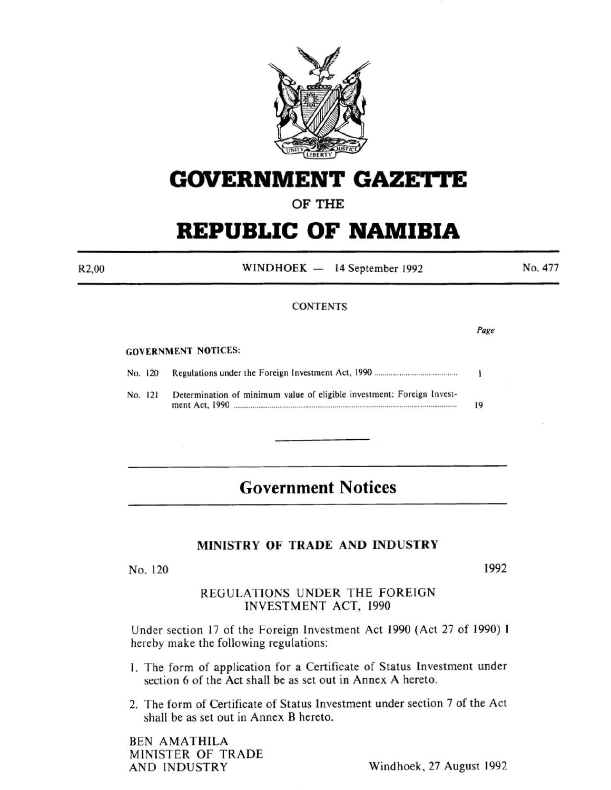

# **GOVERNMENT GAZETTE**

OF THE

# **REPUBLIC OF NAMIBIA**

R2,00

WINDHOEK - 14 September 1992

No. 477

## **CONTENTS**

*Page* 

#### GOVERNMENT NOTICES:

No. 120 Regulations under the Foreign Investment Act, 1990 ......................................... ..  $\mathbf{I}$ 

No. 121 Determination of minimum value of eligible investment: Foreign Investment Act, 1990 ..................................................................................................................... 19

## **Government Notices**

## MINISTRY OF TRADE AND INDUSTRY

No. 120

1992

## REGULATIONS UNDER THE FOREIGN INVESTMENT ACT, 1990

Under section 17 of the Foreign Investment Act 1990 (Act 27 of 1990) I hereby make the following regulations:

- I. The form of application for a Certificate of Status Investment under section 6 of the Act shall be as set out in Annex A hereto.
- 2. The form of Certificate of Status Investment under section 7 of the Act shall be as set out in Annex B hereto.

BEN AMATHILA MINISTER OF TRADE

AND INDUSTRY Windhoek, 27 August 1992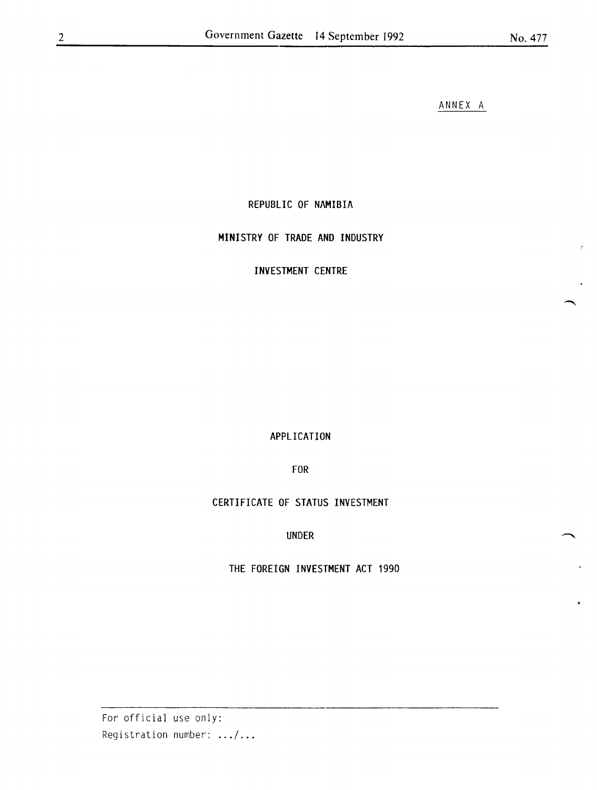ANNEX A

## REPUBLIC OF NAMIBIA

## MINISTRY OF TRADE AND INDUSTRY

## INVESTMENT CENTRE

APPLICATION

FOR

## CERTIFICATE OF STATUS INVESTMENT

## UNDER

THE FOREIGN INVESTMENT ACT 1990

For official use only: Registration number: .../...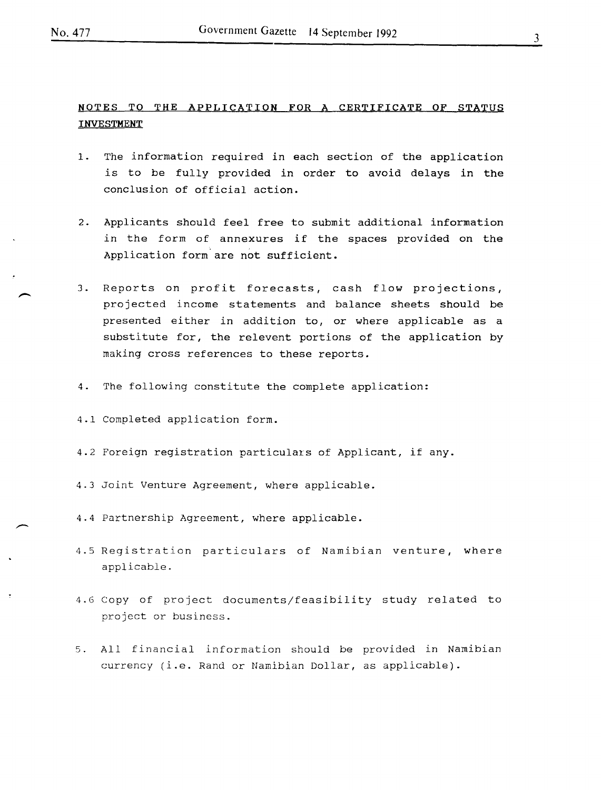## NOTES TO THE APPLICATION FOR A CERTIFICATE OF STATUS INVESTMENT

- 1. The information required in each section of the application is to be fully provided in order to avoid delays in the conclusion of official action.
- 2. Applicants should feel free to submit additional information in the form of annexures if the spaces provided on the Application form are not sufficient.
- 3. Reports on profit forecasts, cash flow projections, projected income statements and balance sheets should be presented either in addition to, or where applicable as a substitute for, the relevent portions of the application by making cross references to these reports.
- 4. The following constitute the complete application:
- 4.1 Completed application form.
- 4.2 Foreign registration particulars of Applicant, if any.
- 4.3 Joint Venture Agreement, where applicable.
- 4.4 Partnership Agreement, where applicable.
- 4.5 Registration particulars of Namibian venture, where applicable.
- 4.6 Copy of project documents/feasibility study related to project or business.
- 5. All financial information should be provided in Namibian currency (i.e. Rand or Namibian Dollar, as applicable).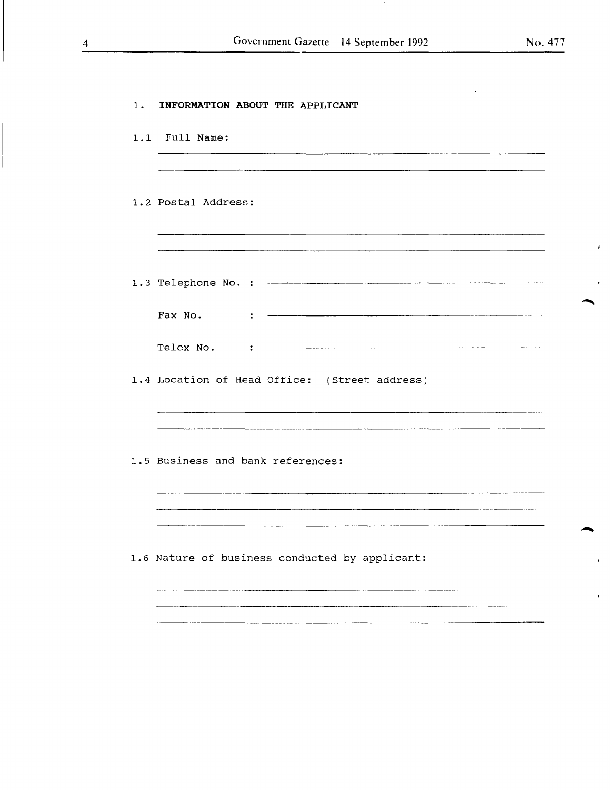$\pmb{\cdot}$ 

 $\pmb{\varepsilon}$ 

 $\hat{\mathbf{r}}$ 

| $1$ . | INFORMATION ABOUT THE APPLICANT                                                              |
|-------|----------------------------------------------------------------------------------------------|
|       | 1.1 Full Name:                                                                               |
|       | 1.2 Postal Address:                                                                          |
|       |                                                                                              |
|       | Fax No.<br>÷<br>Telex No.<br>$\ddot{\cdot}$<br>1.4 Location of Head Office: (Street address) |
|       |                                                                                              |
|       | 1.5 Business and bank references:                                                            |
|       | 1.6 Nature of business conducted by applicant:                                               |
|       |                                                                                              |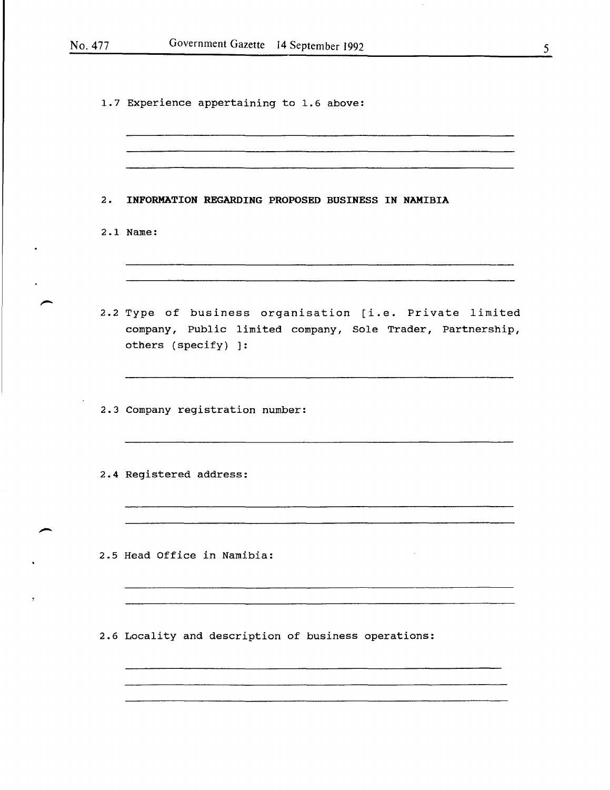$\bar{z}$ 

1.7 Experience appertaining to 1.6 above:

| 2. | INFORMATION REGARDING PROPOSED BUSINESS IN NAMIBIA                                                                                           |
|----|----------------------------------------------------------------------------------------------------------------------------------------------|
|    | 2.1 Name:                                                                                                                                    |
|    | 2.2 Type of business organisation [i.e. Private limited<br>company, Public limited company, Sole Trader, Partnership,<br>others (specify) ]: |
|    | 2.3 Company registration number:                                                                                                             |
|    | 2.4 Registered address:                                                                                                                      |
|    | 2.5 Head Office in Namibia:                                                                                                                  |
|    | 2.6 Locality and description of business operations:                                                                                         |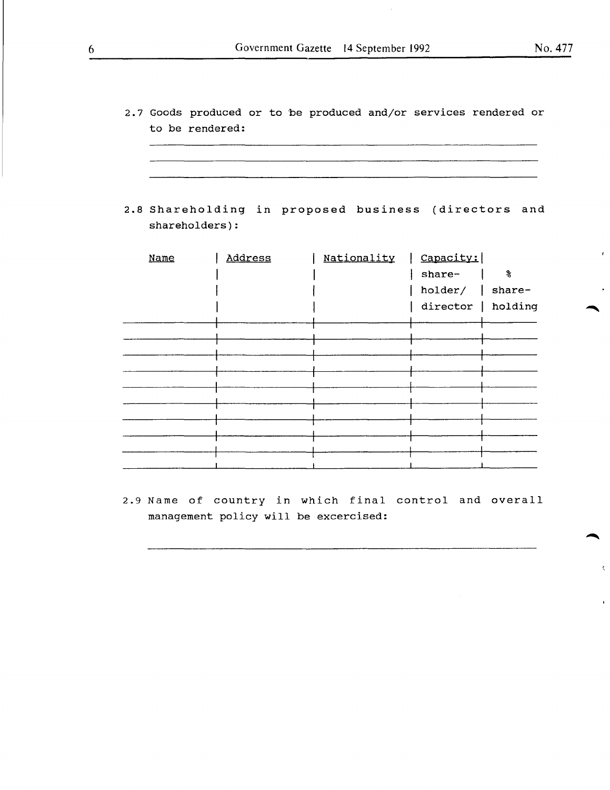2.7 Goods produced or to be produced and/or services rendered or to be rendered:

<u>. An ann an coimean ann an t-ainm ann an coimean ann an coimeanach ann an coimeanach ann an coimeanach ann an</u>

2.8 Shareholding in proposed business (directors and shareholders):

| Name | Address | Nationality | Capacity:          |   |
|------|---------|-------------|--------------------|---|
|      |         |             | share-             | 8 |
|      |         |             | holder/ $ $ share- |   |
|      |         |             | director   holding |   |
|      |         |             |                    |   |
|      |         |             |                    |   |
|      |         |             |                    |   |
|      |         |             |                    |   |
|      |         |             |                    |   |
|      |         |             |                    |   |
|      |         |             |                    |   |
|      |         |             |                    |   |
|      |         |             |                    |   |
|      |         |             |                    |   |

2.9 Name of country in which final control and overall management policy will be excercised:

 $\bigcap$ 

 $\overline{1}$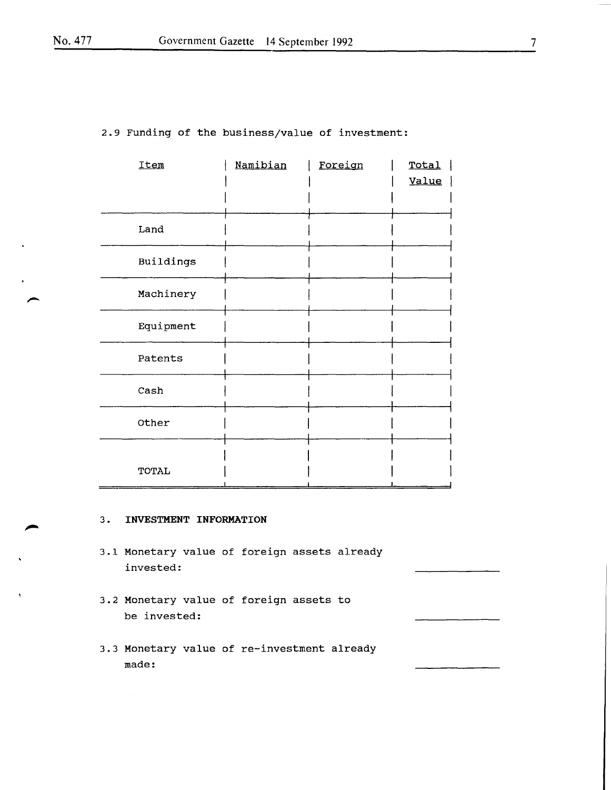|  |  |  |  | 2.9 Funding of the business/value of investment: |  |  |
|--|--|--|--|--------------------------------------------------|--|--|
|--|--|--|--|--------------------------------------------------|--|--|

| Item      | Namibian | Foreign | Total |
|-----------|----------|---------|-------|
|           |          |         | Value |
|           |          |         |       |
|           |          |         |       |
| Land      |          |         |       |
|           |          |         |       |
| Buildings |          |         |       |
|           |          |         |       |
| Machinery |          |         |       |
|           |          |         |       |
| Equipment |          |         |       |
| Patents   |          |         |       |
|           |          |         |       |
| Cash      |          |         |       |
|           |          |         |       |
| Other     |          |         |       |
|           |          |         |       |
|           |          |         |       |
| TOTAL     |          |         |       |
|           |          |         |       |

### 3. **INVESTMENT INFORMATION**

- 3.1 Monetary value of foreign assets already invested:
- 3.2 Monetary value of foreign assets to be invested:
- 3.3 Monetary value of re-investment already made: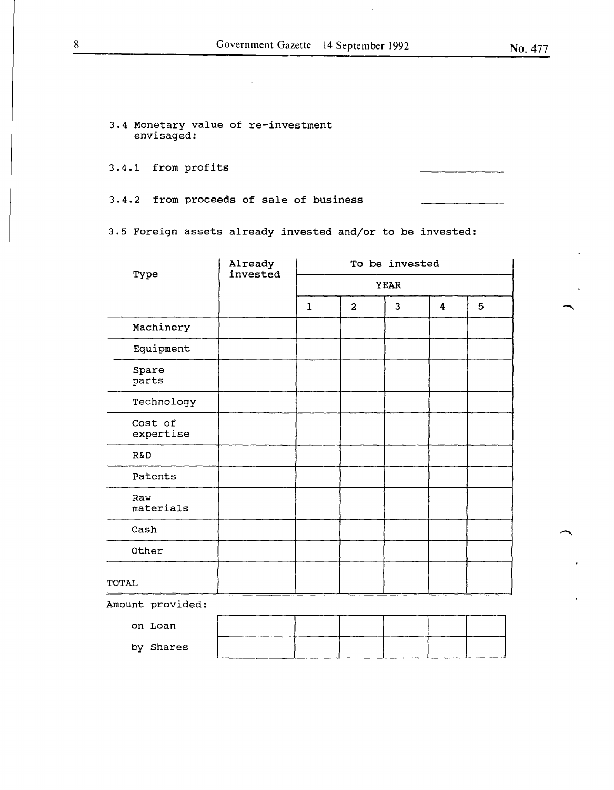3.4 Monetary value of re-investment envisaged:

3.4.1 from profits

3.4.2 from proceeds of sale of business

3.5 Foreign assets already invested and/or to be invested:

|                      | Already  | To be invested |                |                         |   |   |  |
|----------------------|----------|----------------|----------------|-------------------------|---|---|--|
| Type                 | invested |                | <b>YEAR</b>    |                         |   |   |  |
|                      |          | $\mathbf{1}$   | $\overline{a}$ | $\overline{\mathbf{3}}$ | 4 | 5 |  |
| Machinery            |          |                |                |                         |   |   |  |
| Equipment            |          |                |                |                         |   |   |  |
| Spare<br>parts       |          |                |                |                         |   |   |  |
| Technology           |          |                |                |                         |   |   |  |
| Cost of<br>expertise |          |                |                |                         |   |   |  |
| R&D                  |          |                |                |                         |   |   |  |
| Patents              |          |                |                |                         |   |   |  |
| Raw<br>materials     |          |                |                |                         |   |   |  |
| Cash                 |          |                |                |                         |   |   |  |
| Other                |          |                |                |                         |   |   |  |
| TOTAL                |          |                |                |                         |   |   |  |
| Amount provided:     |          |                |                |                         |   |   |  |
| on Loan              |          |                |                |                         |   |   |  |

| on Loan   |  |  |  |  |
|-----------|--|--|--|--|
| by Shares |  |  |  |  |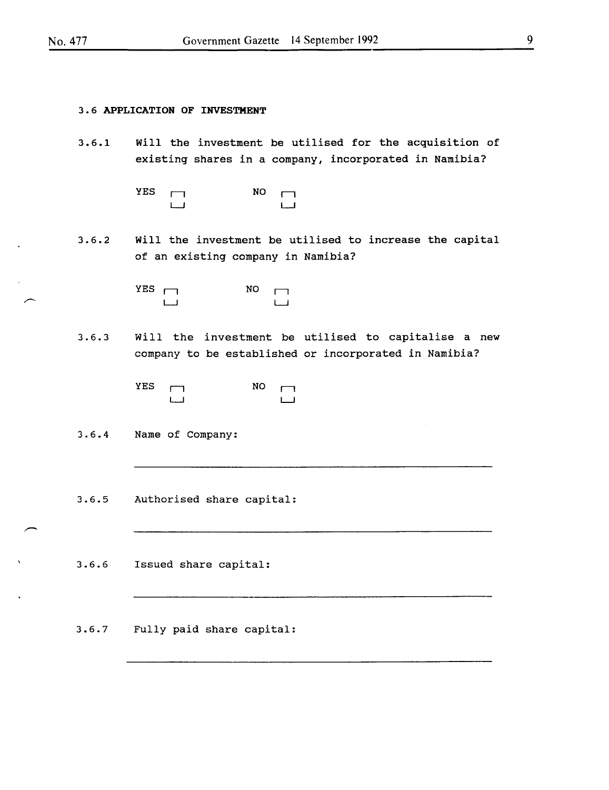#### 3 • 6 APPLICATION OF INVESTMENT

- 3.6.1 Will the investment be utilised for the acquisition of existing shares in a company, incorporated in Namibia?
	- $YES$   $\Box$ LJ NO LJ
- 3.6.2 Will the investment be utilised to increase the capital of an existing company in Namibia?

 $YES$   $\Box$  $\Box$  $NO$   $\Box$ LJ

3.6.3 Will the investment be utilised to capitalise a new company to be established or incorporated in Namibia?

> $YES$   $\Box$ LJ  $NO \quad \rightarrow$ LJ

3.6.4 Name of Company:

3.6.5 Authorised share capital:

3.6.6 Issued share capital:

3.6.7 Fully paid share capital: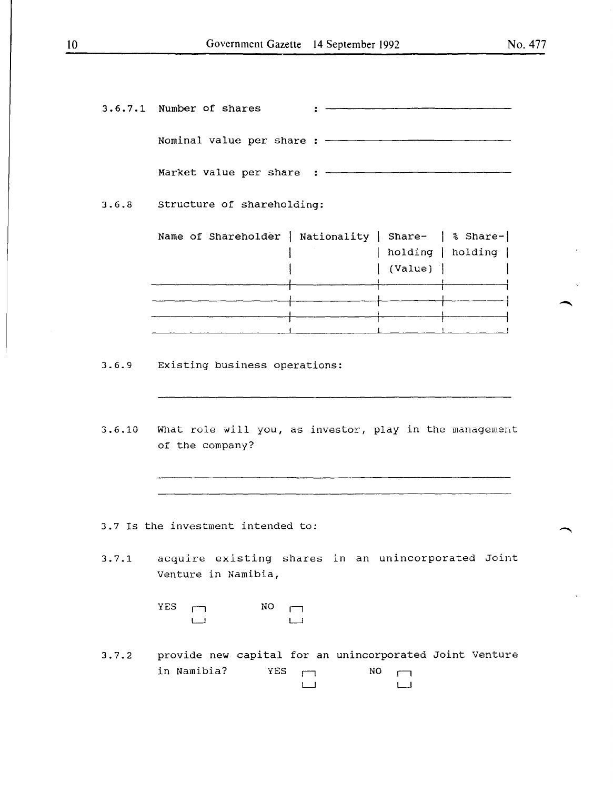|       | 3.6.7.1 Number of shares                                                          |    |         |                                                                                                                |  |  |
|-------|-----------------------------------------------------------------------------------|----|---------|----------------------------------------------------------------------------------------------------------------|--|--|
|       |                                                                                   |    |         |                                                                                                                |  |  |
|       |                                                                                   |    |         |                                                                                                                |  |  |
|       | 3.6.8 Structure of shareholding:                                                  |    |         |                                                                                                                |  |  |
|       | Name of Shareholder   Nationality   Share-   % Share-                             |    | (Value) | holding   holding                                                                                              |  |  |
|       |                                                                                   |    |         |                                                                                                                |  |  |
|       |                                                                                   |    |         |                                                                                                                |  |  |
|       |                                                                                   |    |         | and the control of the control of the control of the control of the control of the control of the control of t |  |  |
|       | 3.6.9 Existing business operations:                                               |    |         |                                                                                                                |  |  |
|       | 3.6.10 What role will you, as investor, play in the management<br>of the company? |    |         |                                                                                                                |  |  |
|       |                                                                                   |    |         |                                                                                                                |  |  |
|       |                                                                                   |    |         |                                                                                                                |  |  |
|       | 3.7 Is the investment intended to:                                                |    |         |                                                                                                                |  |  |
| 3.7.1 | acquire existing shares in an unincorporated Joint<br>Venture in Namibia,         |    |         |                                                                                                                |  |  |
|       | <b>YES</b><br>NO                                                                  |    |         |                                                                                                                |  |  |
| 3.7.2 | provide new capital for an unincorporated Joint Venture<br>in Namibia?<br>YES     | NO |         |                                                                                                                |  |  |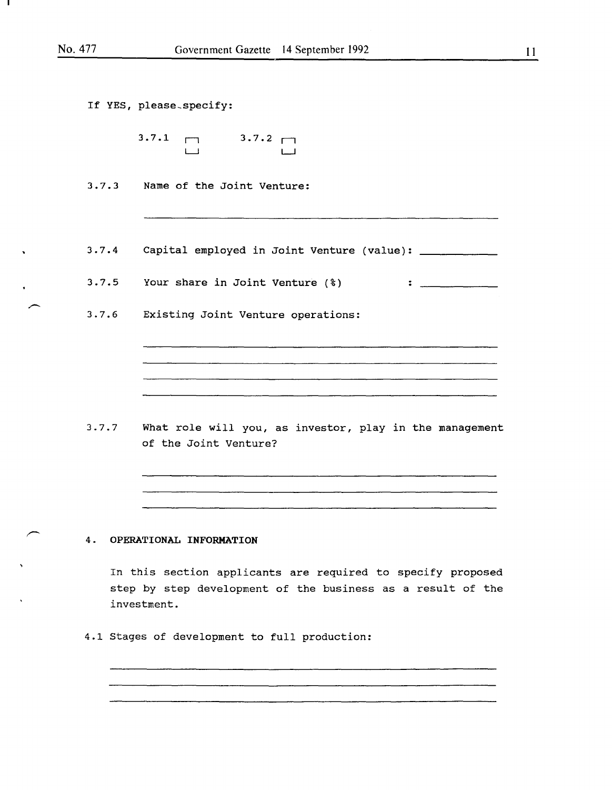| If YES, please specify:                                                 |
|-------------------------------------------------------------------------|
| $\begin{array}{cccc}\n3.7.1 & \fbox{1} & 3.7.2 & \fbox{1}\n\end{array}$ |
| 3.7.3 Name of the Joint Venture:                                        |
|                                                                         |
| 3.7.4 Capital employed in Joint Venture (value): __________             |
| 3.7.5 Your share in Joint Venture (%)                                   |
| 3.7.6 Existing Joint Venture operations:                                |
|                                                                         |
|                                                                         |
|                                                                         |
|                                                                         |

3.7.7 What role will you, as investor, play in the management of the Joint Venture?

## 4. OPERATIONAL INFORMATION

In this section applicants are required to specify proposed step by step development of the business as a result of the investment.

4.1 Stages of development to full production: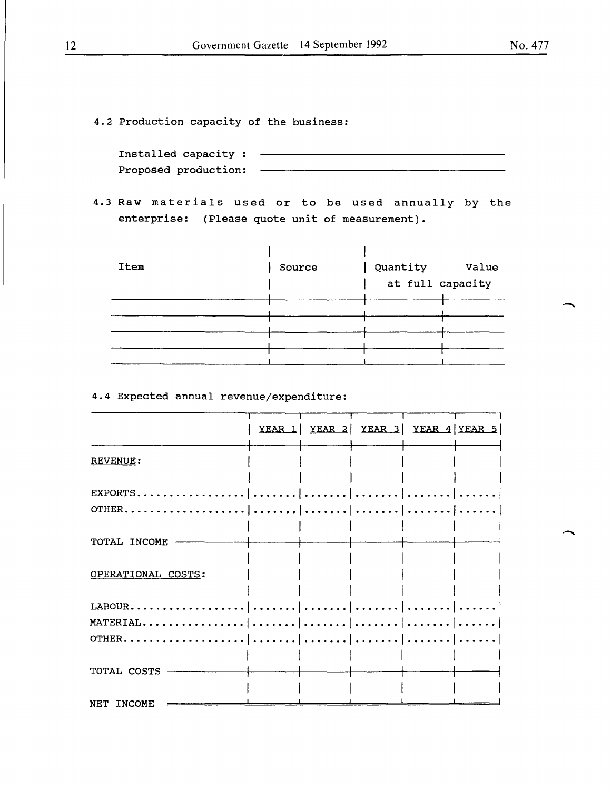4.2 Production capacity of the business:

| Installed capacity : |  |
|----------------------|--|
| Proposed production: |  |

4.3 Raw materials used or to be used annually by the enterprise: (Please quote unit of measurement).

| Item | Source | Quantity<br>at full capacity | Value |
|------|--------|------------------------------|-------|
|      |        |                              |       |
|      |        |                              |       |
|      |        |                              |       |
|      |        |                              |       |

## 4.4 Expected annual revenue/expenditure:

|                    |  | YEAR 1 YEAR 2 YEAR 3 YEAR 4 YEAR 5 |  |
|--------------------|--|------------------------------------|--|
| REVENUE:           |  |                                    |  |
| EXPORTS.           |  |                                    |  |
| OTHER.             |  |                                    |  |
| TOTAL INCOME       |  |                                    |  |
| OPERATIONAL COSTS: |  |                                    |  |
| LABOUR.            |  |                                    |  |
| MATERIAL           |  |                                    |  |
| OTHER.             |  |                                    |  |
| TOTAL COSTS        |  |                                    |  |
| NET INCOME         |  |                                    |  |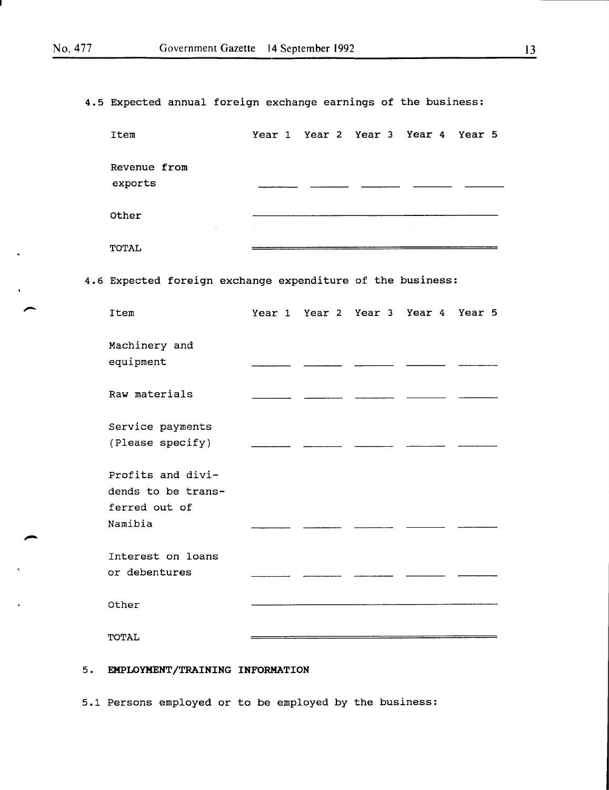$\bar{\mathbf{v}}$ 

4.5 Expected annual foreign exchange earnings of the business:

| Item                                       |  | Year 1 Year 2 Year 3 Year 4 Year 5 |  |
|--------------------------------------------|--|------------------------------------|--|
| Revenue from<br>exports                    |  |                                    |  |
| Other<br>and the control of the control of |  |                                    |  |
| TOTAL                                      |  |                                    |  |

4.6 Expected foreign exchange expenditure of the business:

| Item                                                     |  | Year 1 Year 2 Year 3 Year 4 Year 5 |  |
|----------------------------------------------------------|--|------------------------------------|--|
| Machinery and<br>equipment                               |  |                                    |  |
| Raw materials                                            |  |                                    |  |
| Service payments<br>(Please specify)                     |  |                                    |  |
| Profits and divi-<br>dends to be trans-<br>ferred out of |  |                                    |  |
| Namibia                                                  |  |                                    |  |
| Interest on loans                                        |  |                                    |  |
| or debentures                                            |  |                                    |  |
| Other                                                    |  |                                    |  |
| TOTAL                                                    |  |                                    |  |

## 5. EMPLOYMENT/TRAINING INFORMATION

5.1 Persons employed or to be employed by the business: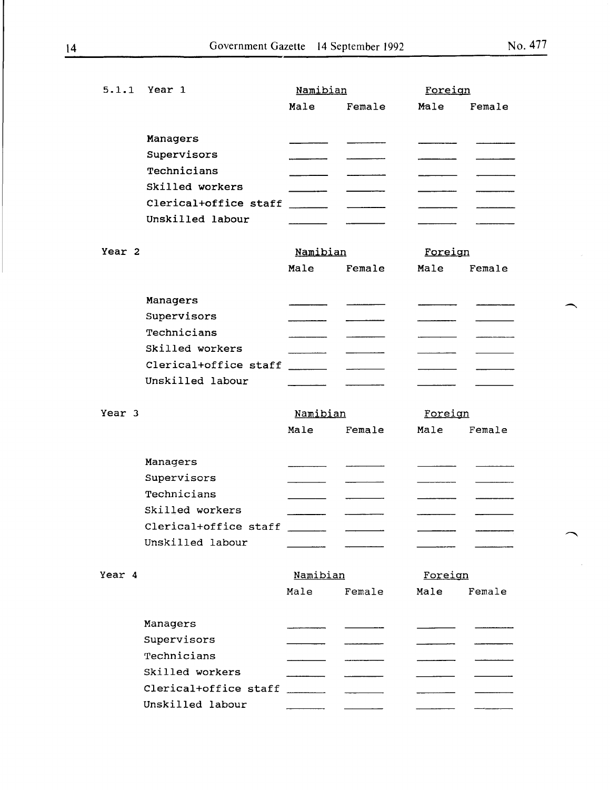| 5.1.1             | Year 1                | Namibian             |        | Foreign |        |
|-------------------|-----------------------|----------------------|--------|---------|--------|
|                   |                       | Male                 | Female | Male    | Female |
|                   |                       |                      |        |         |        |
|                   | Managers              |                      |        |         |        |
|                   | Supervisors           |                      |        |         |        |
|                   | Technicians           |                      |        |         |        |
|                   | Skilled workers       |                      |        |         |        |
|                   | Clerical+office staff |                      |        |         |        |
|                   | Unskilled labour      |                      |        |         |        |
| Year 2            |                       | Namibian             |        | Foreign |        |
|                   |                       | Male                 | Female | Male    | Female |
|                   | Managers              |                      |        |         |        |
|                   | Supervisors           |                      |        |         |        |
|                   | Technicians           |                      |        |         |        |
|                   | Skilled workers       |                      |        |         |        |
|                   | Clerical+office staff | <u>and the state</u> |        |         |        |
|                   | Unskilled labour      |                      |        |         |        |
| Year <sub>3</sub> |                       | Namibian             |        | Foreign |        |
|                   |                       | Male                 | Female | Male    | Female |
|                   | Managers              |                      |        |         |        |
|                   | Supervisors           |                      |        |         |        |
|                   | Technicians           |                      |        |         |        |
|                   | Skilled workers       |                      |        |         |        |
|                   | Clerical+office staff |                      |        |         |        |
|                   | Unskilled labour      |                      |        |         |        |
|                   |                       |                      |        |         |        |
| Year 4            |                       | Namibian             |        | Foreign |        |
|                   |                       | Male                 | Female | Male    | Female |
|                   | Managers              |                      |        |         |        |
|                   | Supervisors           |                      |        |         |        |
|                   | Technicians           |                      |        |         |        |
|                   | Skilled workers       |                      |        |         |        |
|                   | Clerical+office staff |                      |        |         |        |
|                   | Unskilled labour      |                      |        |         |        |
|                   |                       |                      |        |         |        |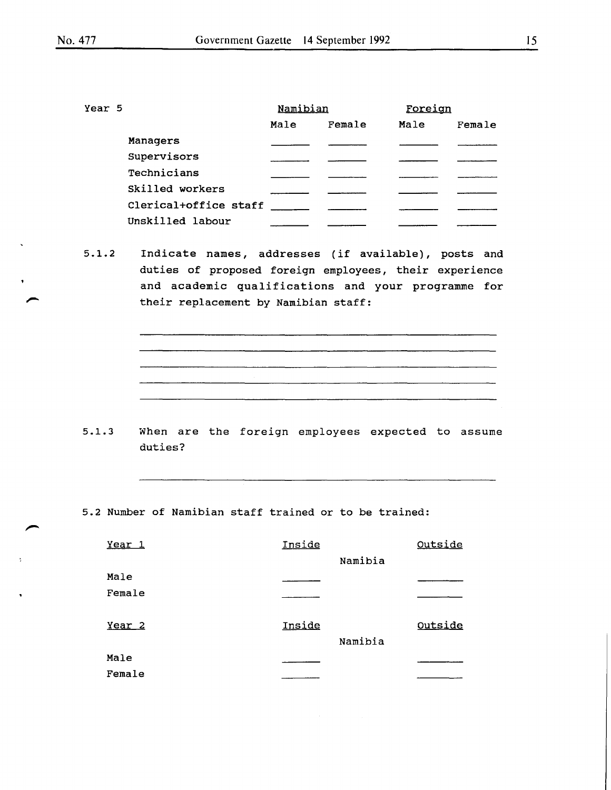| Year 5 |                       | Namibian |        | Foreign |        |
|--------|-----------------------|----------|--------|---------|--------|
|        |                       | Male     | Female | Male    | Female |
|        | Managers              |          |        |         |        |
|        | Supervisors           |          |        |         |        |
|        | Technicians           |          |        |         |        |
|        | Skilled workers       |          |        |         |        |
|        | Clerical+office staff |          |        |         |        |
|        | Unskilled labour      |          |        |         |        |

5.1.2 Indicate names, addresses (if available), posts and duties of proposed foreign employees, their experience and academic qualifications and your programme for their replacement by Namibian staff:

5 .1. 3 When are the foreign employees expected to assume duties?

5.2 Number of Namibian staff trained or to be trained:

| Year <sub>1</sub> | Inside |         | Outside |
|-------------------|--------|---------|---------|
|                   |        | Namibia |         |
| Male              |        |         |         |
| Female            |        |         |         |
| Year <sub>2</sub> | Inside | Namibia | Outside |
| Male              |        |         |         |
| Female            |        |         |         |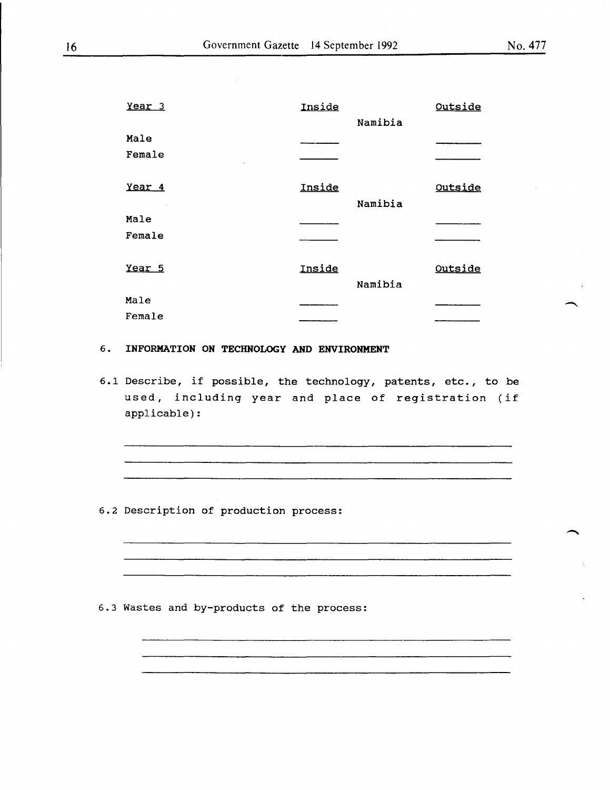| Year <sub>3</sub> | Inside |         | Outside |
|-------------------|--------|---------|---------|
|                   |        | Namibia |         |
| Male              |        |         |         |
| Female            |        |         |         |
| Year <sub>4</sub> | Inside | Namibia | Outside |
| Male              |        |         |         |
| Female            |        |         |         |
| Year 5            | Inside | Namibia | Outside |
| Male              |        |         |         |
| Female            |        |         |         |

#### 6 . INFORMATION ON TECHNOLOGY AND ENVIRONMENT

6.1 Describe, if possible, the technology, patents, etc., to be used, including year and place of registration (if applicable):

.<br>2000 - Andrew Marie Land, amerikansk politiker († 1900)

6.2 Description of production process:

6.3 Wastes and by-products of the process: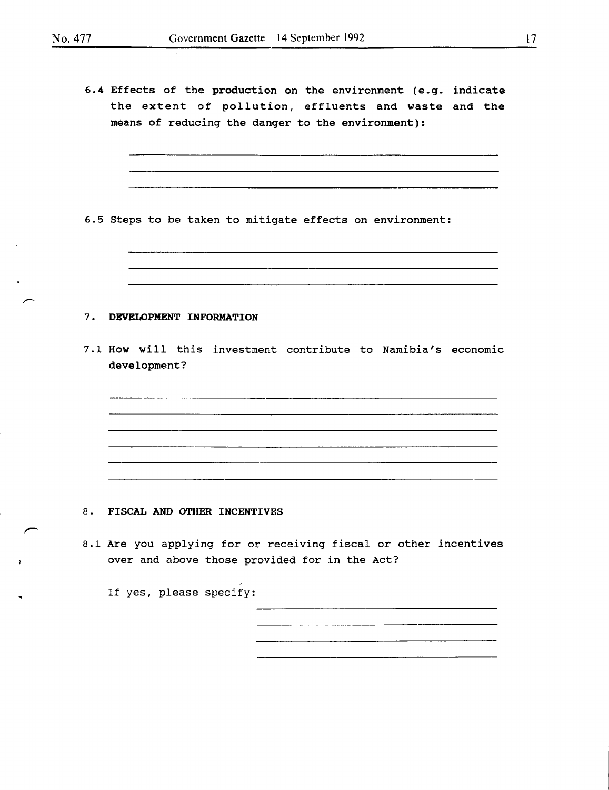6.4 Effects of the production on the environment (e.g. indicate the extent of pollution, effluents and waste and the means of reducing the danger to the environment):

6.5 Steps to be taken to mitigate effects on environment:

#### 7. DEVELOPMENT INFORMATION

7.1 How will this investment contribute to Namibia's economic development?

8. FISCAL AND OTHER INCENTIVES

8.1 Are you applying for or receiving fiscal or other incentives over and above those provided for in the Act?

If yes, please specify: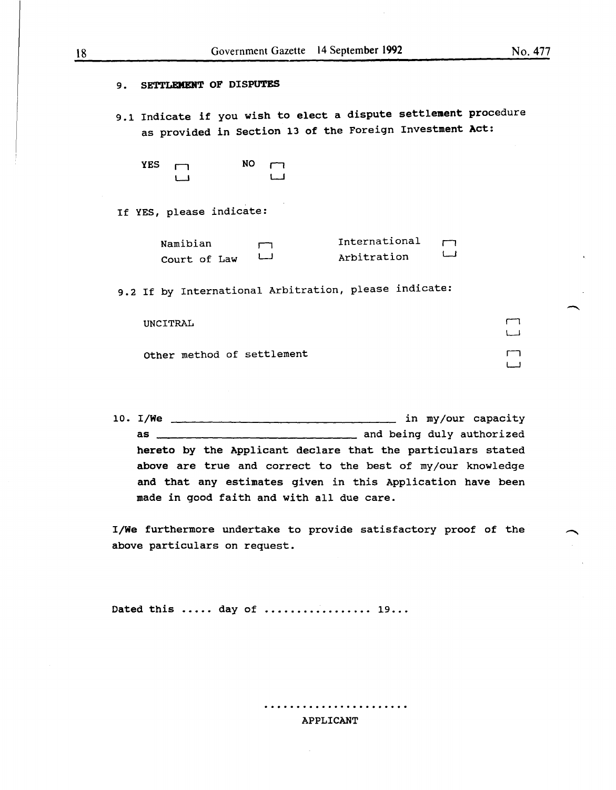| SETTLEMENT OF DISPUTES<br>9.                                                                                                 |                              |  |                             |
|------------------------------------------------------------------------------------------------------------------------------|------------------------------|--|-----------------------------|
| 9.1 Indicate if you wish to elect a dispute settlement procedure<br>as provided in Section 13 of the Foreign Investment Act: |                              |  |                             |
| NO.<br><b>YES</b>                                                                                                            |                              |  |                             |
| If YES, please indicate:                                                                                                     |                              |  |                             |
| Namibian<br>Court of Law                                                                                                     | International<br>Arbitration |  |                             |
| 9.2 If by International Arbitration, please indicate:                                                                        |                              |  |                             |
| UNCITRAL                                                                                                                     |                              |  |                             |
| Other method of settlement                                                                                                   |                              |  |                             |
|                                                                                                                              |                              |  |                             |
| 10. I/We                                                                                                                     |                              |  | in my/our capacity          |
| as                                                                                                                           |                              |  | _ and being duly authorized |

hereto by the Applicant declare that the particulars stated above are true and correct to the best of my/our knowledge and that any estimates given in this Application have been made in good faith and with all due care.

I/We furthermore undertake to provide satisfactory proof of the above particulars on request.

Dated this ..... day of ................. 19...

#### APPLICANT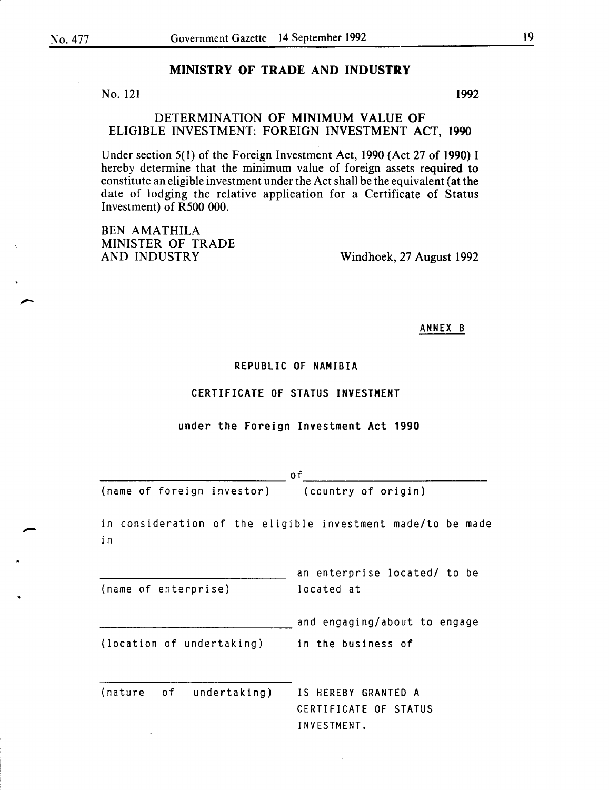## MINISTRY OF TRADE AND INDUSTRY

No. 121 1992

DETERMINATION OF MINIMUM VALUE OF ELIGIBLE INVESTMENT: FOREIGN INVESTMENT ACT, 1990

Under section 5(1) of the Foreign Investment Act, 1990 (Act 27 of 1990) I hereby determine that the minimum value of foreign assets required to constitute an eligible investment under the Act shall be the equivalent (at the date of lodging the relative application for a Certificate of Status Investment) of R500 000.

BEN AMATHILA MINISTER OF TRADE<br>AND INDUSTRY

Windhoek, 27 August 1992

ANNEX B

#### REPUBLIC OF NAMIBIA

#### CERTIFICATE OF STATUS INVESTMENT

#### under the Foreign Investment Act 1990

|                            | 0f                                                          |
|----------------------------|-------------------------------------------------------------|
| (name of foreign investor) | (country of origin)                                         |
| i n                        | in consideration of the eligible investment made/to be made |
| (name of enterprise)       | an enterprise located/ to be<br>located at                  |
|                            | and engaging/about to engage                                |
| (location of undertaking)  | in the business of                                          |
| (nature of undertaking)    | IS HEREBY GRANTED A<br>CERTIFICATE OF STATUS                |
|                            | INVESTMENT.                                                 |